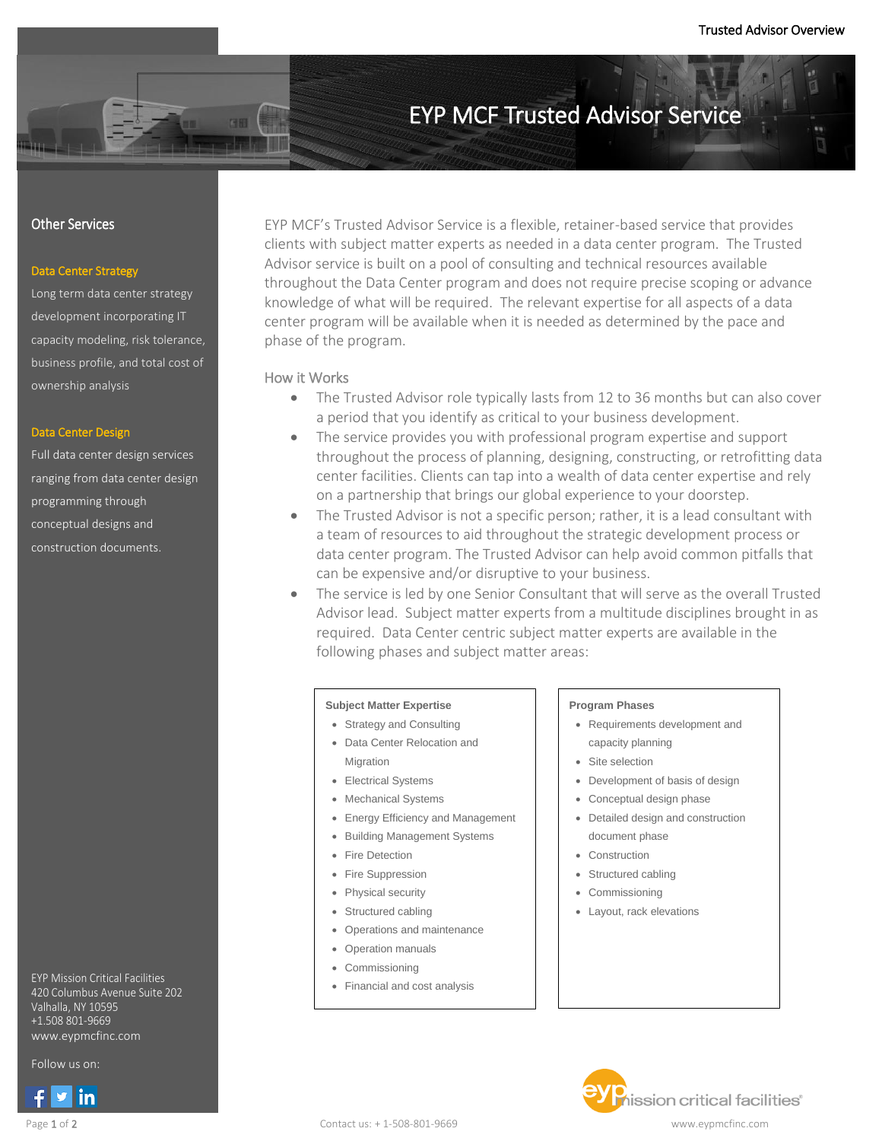$\overline{\phantom{a}}$ 

# EYP MCF Trusted Advisor Service

### Other Services

### Data Center Strategy

Long term data center strategy development incorporating IT capacity modeling, risk tolerance, business profile, and total cost of ownership analysis

### Data Center Design

Full data center design services ranging from data center design programming through conceptual designs and construction documents.

EYP Mission Critical Facilities 420 Columbus Avenue Suite 202 Valhalla, NY 10595 +1.508 801-9669 www.eypmcfinc.com

Follow us on: Follow us on:



EYP MCF's Trusted Advisor Service is a flexible, retainer-based service that provides clients with subject matter experts as needed in a data center program. The Trusted Advisor service is built on a pool of consulting and technical resources available throughout the Data Center program and does not require precise scoping or advance knowledge of what will be required. The relevant expertise for all aspects of a data center program will be available when it is needed as determined by the pace and phase of the program.

### How it Works

- The Trusted Advisor role typically lasts from 12 to 36 months but can also cover a period that you identify as critical to your business development.
- The service provides you with professional program expertise and support throughout the process of planning, designing, constructing, or retrofitting data center facilities. Clients can tap into a wealth of data center expertise and rely on a partnership that brings our global experience to your doorstep.
- The Trusted Advisor is not a specific person; rather, it is a lead consultant with a team of resources to aid throughout the strategic development process or data center program. The Trusted Advisor can help avoid common pitfalls that can be expensive and/or disruptive to your business.
- The service is led by one Senior Consultant that will serve as the overall Trusted Advisor lead. Subject matter experts from a multitude disciplines brought in as required. Data Center centric subject matter experts are available in the following phases and subject matter areas:

#### **Subject Matter Expertise**

- Strategy and Consulting
- Data Center Relocation and Migration
- Electrical Systems
- Mechanical Systems
- Energy Efficiency and Management
- Building Management Systems
- Fire Detection
- Fire Suppression
- Physical security
- Structured cabling
- Operations and maintenance
- Operation manuals
- Commissioning
- Financial and cost analysis

### **Program Phases**

- Requirements development and capacity planning
- Site selection
- Development of basis of design
- Conceptual design phase
- Detailed design and construction document phase
- Construction
- Structured cabling
- Commissioning
- Layout, rack elevations